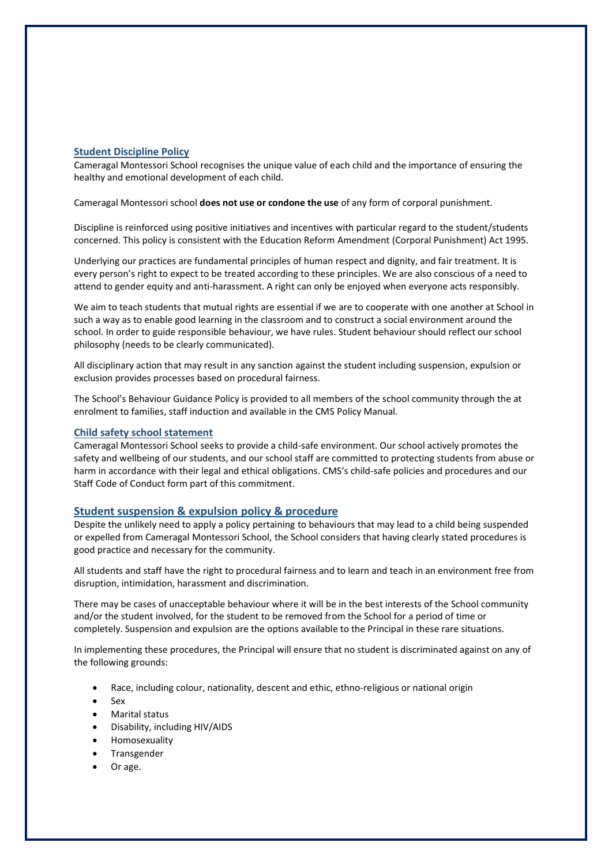# **Student Discipline Policy**

Cameragal Montessori School recognises the unique value of each child and the importance of ensuring the healthy and emotional development of each child.

Cameragal Montessori school **does not use or condone the use** of any form of corporal punishment.

Discipline is reinforced using positive initiatives and incentives with particular regard to the student/students concerned. This policy is consistent with the Education Reform Amendment (Corporal Punishment) Act 1995.

Underlying our practices are fundamental principles of human respect and dignity, and fair treatment. It is every person's right to expect to be treated according to these principles. We are also conscious of a need to attend to gender equity and anti-harassment. A right can only be enjoyed when everyone acts responsibly.

We aim to teach students that mutual rights are essential if we are to cooperate with one another at School in such a way as to enable good learning in the classroom and to construct a social environment around the school. In order to guide responsible behaviour, we have rules. Student behaviour should reflect our school philosophy (needs to be clearly communicated).

All disciplinary action that may result in any sanction against the student including suspension, expulsion or exclusion provides processes based on procedural fairness.

The School's Behaviour Guidance Policy is provided to all members of the school community through the at enrolment to families, staff induction and available in the CMS Policy Manual.

# **Child safety school statement**

Cameragal Montessori School seeks to provide a child-safe environment. Our school actively promotes the safety and wellbeing of our students, and our school staff are committed to protecting students from abuse or harm in accordance with their legal and ethical obligations. CMS's child-safe policies and procedures and our Staff Code of Conduct form part of this commitment.

### **Student suspension & expulsion policy & procedure**

Despite the unlikely need to apply a policy pertaining to behaviours that may lead to a child being suspended or expelled from Cameragal Montessori School, the School considers that having clearly stated procedures is good practice and necessary for the community.

All students and staff have the right to procedural fairness and to learn and teach in an environment free from disruption, intimidation, harassment and discrimination.

There may be cases of unacceptable behaviour where it will be in the best interests of the School community and/or the student involved, for the student to be removed from the School for a period of time or completely. Suspension and expulsion are the options available to the Principal in these rare situations.

In implementing these procedures, the Principal will ensure that no student is discriminated against on any of the following grounds:

- Race, including colour, nationality, descent and ethic, ethno-religious or national origin
- Sex
- Marital status
- Disability, including HIV/AIDS
- Homosexuality
- **Transgender**
- Or age.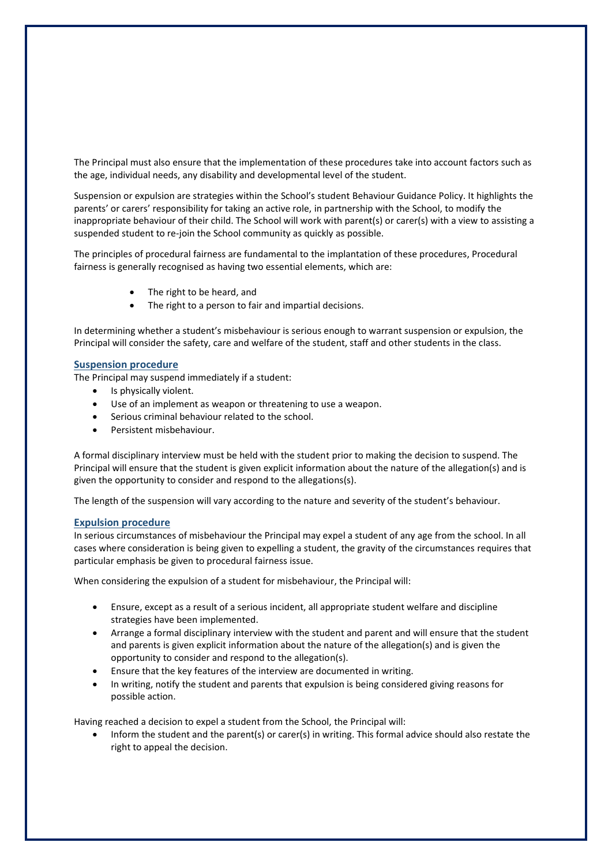The Principal must also ensure that the implementation of these procedures take into account factors such as the age, individual needs, any disability and developmental level of the student.

Suspension or expulsion are strategies within the School's student Behaviour Guidance Policy. It highlights the parents' or carers' responsibility for taking an active role, in partnership with the School, to modify the inappropriate behaviour of their child. The School will work with parent(s) or carer(s) with a view to assisting a suspended student to re-join the School community as quickly as possible.

The principles of procedural fairness are fundamental to the implantation of these procedures, Procedural fairness is generally recognised as having two essential elements, which are:

- The right to be heard, and
- The right to a person to fair and impartial decisions.

In determining whether a student's misbehaviour is serious enough to warrant suspension or expulsion, the Principal will consider the safety, care and welfare of the student, staff and other students in the class.

#### **Suspension procedure**

The Principal may suspend immediately if a student:

- Is physically violent.
- Use of an implement as weapon or threatening to use a weapon.
- Serious criminal behaviour related to the school.
- Persistent misbehaviour.

A formal disciplinary interview must be held with the student prior to making the decision to suspend. The Principal will ensure that the student is given explicit information about the nature of the allegation(s) and is given the opportunity to consider and respond to the allegations(s).

The length of the suspension will vary according to the nature and severity of the student's behaviour.

## **Expulsion procedure**

In serious circumstances of misbehaviour the Principal may expel a student of any age from the school. In all cases where consideration is being given to expelling a student, the gravity of the circumstances requires that particular emphasis be given to procedural fairness issue.

When considering the expulsion of a student for misbehaviour, the Principal will:

- Ensure, except as a result of a serious incident, all appropriate student welfare and discipline strategies have been implemented.
- Arrange a formal disciplinary interview with the student and parent and will ensure that the student and parents is given explicit information about the nature of the allegation(s) and is given the opportunity to consider and respond to the allegation(s).
- Ensure that the key features of the interview are documented in writing.
- In writing, notify the student and parents that expulsion is being considered giving reasons for possible action.

Having reached a decision to expel a student from the School, the Principal will:

• Inform the student and the parent(s) or carer(s) in writing. This formal advice should also restate the right to appeal the decision.